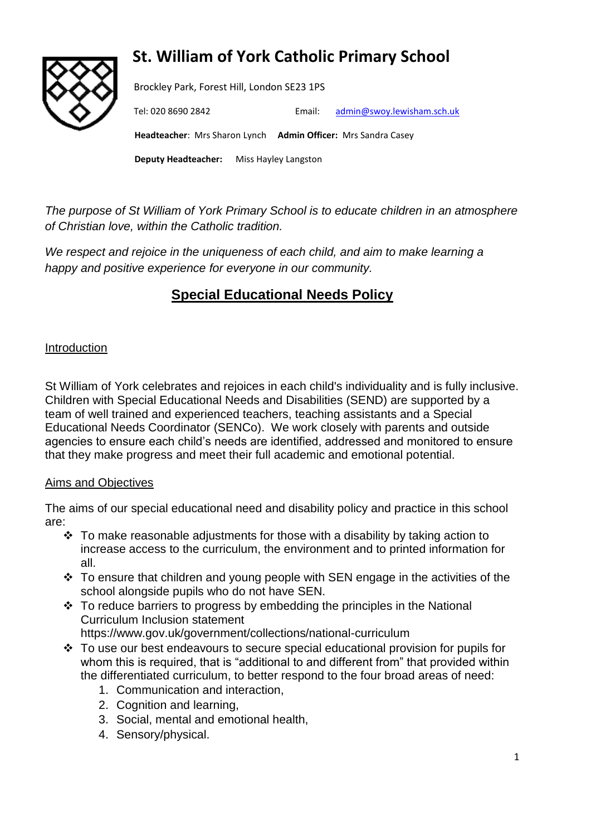# **St. William of York Catholic Primary School**



Brockley Park, Forest Hill, London SE23 1PS

Tel: 020 8690 2842 Email: [admin@swoy.lewisham.sch.uk](mailto:admin@swoy.lewisham.sch.uk)

 **Headteacher**: Mrs Sharon Lynch **Admin Officer:** Mrs Sandra Casey

**Deputy Headteacher:** Miss Hayley Langston

*The purpose of St William of York Primary School is to educate children in an atmosphere of Christian love, within the Catholic tradition.* 

*We respect and rejoice in the uniqueness of each child, and aim to make learning a happy and positive experience for everyone in our community.*

## **Special Educational Needs Policy**

## Introduction

St William of York celebrates and rejoices in each child's individuality and is fully inclusive. Children with Special Educational Needs and Disabilities (SEND) are supported by a team of well trained and experienced teachers, teaching assistants and a Special Educational Needs Coordinator (SENCo). We work closely with parents and outside agencies to ensure each child's needs are identified, addressed and monitored to ensure that they make progress and meet their full academic and emotional potential.

## Aims and Objectives

The aims of our special educational need and disability policy and practice in this school are:

- ❖ To make reasonable adjustments for those with a disability by taking action to increase access to the curriculum, the environment and to printed information for all.
- ❖ To ensure that children and young people with SEN engage in the activities of the school alongside pupils who do not have SEN.
- $\div$  To reduce barriers to progress by embedding the principles in the National Curriculum Inclusion statement

https://www.gov.uk/government/collections/national-curriculum

- ❖ To use our best endeavours to secure special educational provision for pupils for whom this is required, that is "additional to and different from" that provided within the differentiated curriculum, to better respond to the four broad areas of need:
	- 1. Communication and interaction,
	- 2. Cognition and learning,
	- 3. Social, mental and emotional health,
	- 4. Sensory/physical.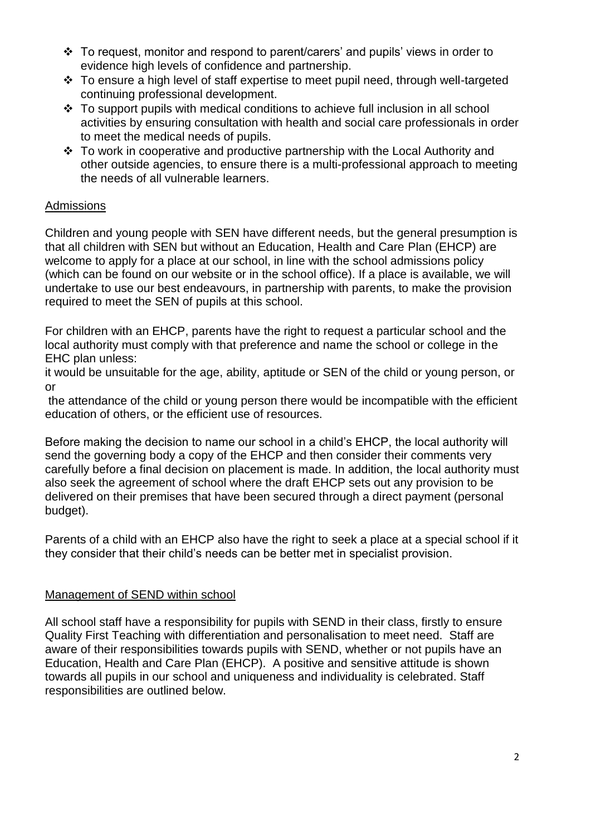- ❖ To request, monitor and respond to parent/carers' and pupils' views in order to evidence high levels of confidence and partnership.
- ❖ To ensure a high level of staff expertise to meet pupil need, through well-targeted continuing professional development.
- ❖ To support pupils with medical conditions to achieve full inclusion in all school activities by ensuring consultation with health and social care professionals in order to meet the medical needs of pupils.
- ❖ To work in cooperative and productive partnership with the Local Authority and other outside agencies, to ensure there is a multi-professional approach to meeting the needs of all vulnerable learners.

## **Admissions**

Children and young people with SEN have different needs, but the general presumption is that all children with SEN but without an Education, Health and Care Plan (EHCP) are welcome to apply for a place at our school, in line with the school admissions policy (which can be found on our website or in the school office). If a place is available, we will undertake to use our best endeavours, in partnership with parents, to make the provision required to meet the SEN of pupils at this school.

For children with an EHCP, parents have the right to request a particular school and the local authority must comply with that preference and name the school or college in the EHC plan unless:

it would be unsuitable for the age, ability, aptitude or SEN of the child or young person, or or

the attendance of the child or young person there would be incompatible with the efficient education of others, or the efficient use of resources.

Before making the decision to name our school in a child's EHCP, the local authority will send the governing body a copy of the EHCP and then consider their comments very carefully before a final decision on placement is made. In addition, the local authority must also seek the agreement of school where the draft EHCP sets out any provision to be delivered on their premises that have been secured through a direct payment (personal budget).

Parents of a child with an EHCP also have the right to seek a place at a special school if it they consider that their child's needs can be better met in specialist provision.

#### Management of SEND within school

All school staff have a responsibility for pupils with SEND in their class, firstly to ensure Quality First Teaching with differentiation and personalisation to meet need. Staff are aware of their responsibilities towards pupils with SEND, whether or not pupils have an Education, Health and Care Plan (EHCP). A positive and sensitive attitude is shown towards all pupils in our school and uniqueness and individuality is celebrated. Staff responsibilities are outlined below.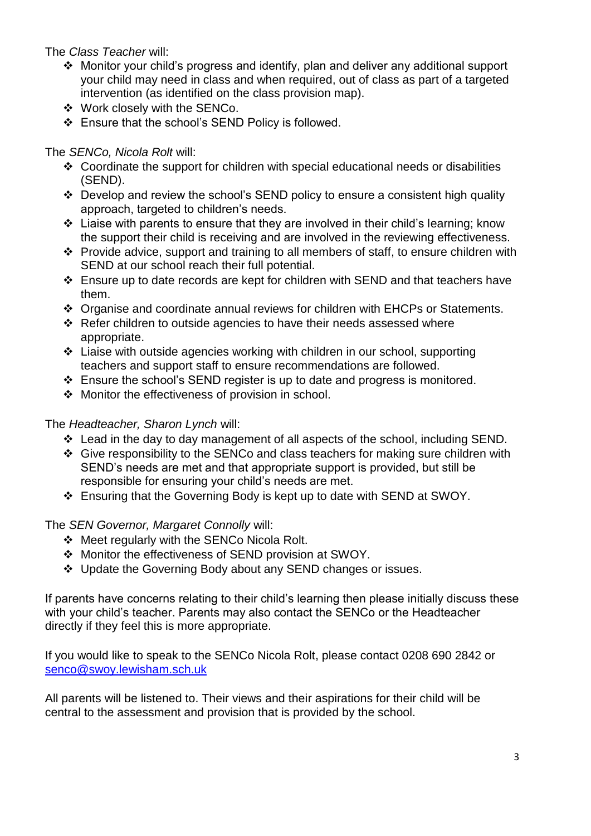## The *Class Teacher* will:

- ❖ Monitor your child's progress and identify, plan and deliver any additional support your child may need in class and when required, out of class as part of a targeted intervention (as identified on the class provision map).
- ❖ Work closely with the SENCo.
- ❖ Ensure that the school's SEND Policy is followed.

## The *SENCo, Nicola Rolt* will:

- ❖ Coordinate the support for children with special educational needs or disabilities (SEND).
- ❖ Develop and review the school's SEND policy to ensure a consistent high quality approach, targeted to children's needs.
- ❖ Liaise with parents to ensure that they are involved in their child's learning; know the support their child is receiving and are involved in the reviewing effectiveness.
- ❖ Provide advice, support and training to all members of staff, to ensure children with SEND at our school reach their full potential.
- ❖ Ensure up to date records are kept for children with SEND and that teachers have them.
- ❖ Organise and coordinate annual reviews for children with EHCPs or Statements.
- ❖ Refer children to outside agencies to have their needs assessed where appropriate.
- ❖ Liaise with outside agencies working with children in our school, supporting teachers and support staff to ensure recommendations are followed.
- ❖ Ensure the school's SEND register is up to date and progress is monitored.
- ❖ Monitor the effectiveness of provision in school.

## The *Headteacher, Sharon Lynch* will:

- ❖ Lead in the day to day management of all aspects of the school, including SEND.
- ❖ Give responsibility to the SENCo and class teachers for making sure children with SEND's needs are met and that appropriate support is provided, but still be responsible for ensuring your child's needs are met.
- ❖ Ensuring that the Governing Body is kept up to date with SEND at SWOY.

## The *SEN Governor, Margaret Connolly* will:

- ❖ Meet regularly with the SENCo Nicola Rolt.
- ❖ Monitor the effectiveness of SEND provision at SWOY.
- ❖ Update the Governing Body about any SEND changes or issues.

If parents have concerns relating to their child's learning then please initially discuss these with your child's teacher. Parents may also contact the SENCo or the Headteacher directly if they feel this is more appropriate.

If you would like to speak to the SENCo Nicola Rolt, please contact 0208 690 2842 or [senco@swoy.lewisham.sch.uk](mailto:senco@swoy.lewisham.sch.uk)

All parents will be listened to. Their views and their aspirations for their child will be central to the assessment and provision that is provided by the school.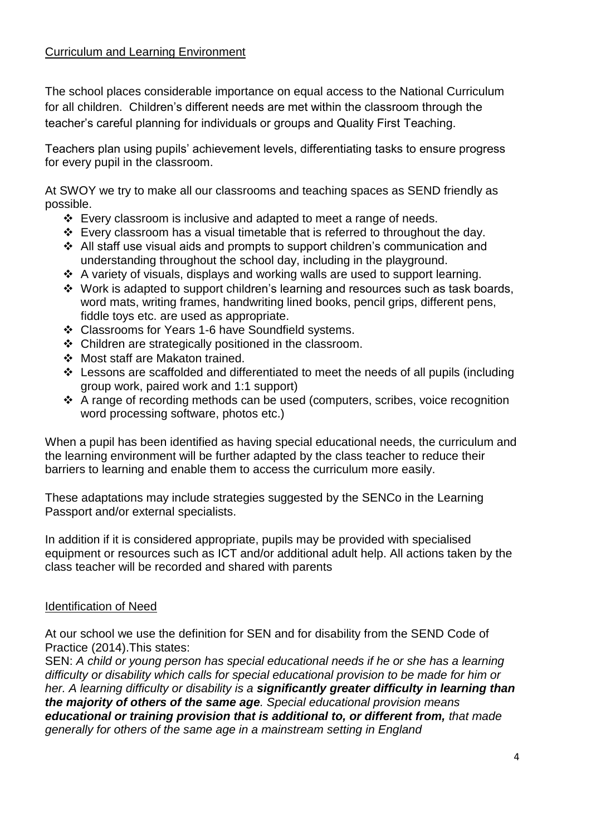## Curriculum and Learning Environment

The school places considerable importance on equal access to the National Curriculum for all children. Children's different needs are met within the classroom through the teacher's careful planning for individuals or groups and Quality First Teaching.

Teachers plan using pupils' achievement levels, differentiating tasks to ensure progress for every pupil in the classroom.

At SWOY we try to make all our classrooms and teaching spaces as SEND friendly as possible.

- ❖ Every classroom is inclusive and adapted to meet a range of needs.
- ❖ Every classroom has a visual timetable that is referred to throughout the day.
- ❖ All staff use visual aids and prompts to support children's communication and understanding throughout the school day, including in the playground.
- ❖ A variety of visuals, displays and working walls are used to support learning.
- ❖ Work is adapted to support children's learning and resources such as task boards, word mats, writing frames, handwriting lined books, pencil grips, different pens, fiddle toys etc. are used as appropriate.
- ❖ Classrooms for Years 1-6 have Soundfield systems.
- ❖ Children are strategically positioned in the classroom.
- ❖ Most staff are Makaton trained.
- ❖ Lessons are scaffolded and differentiated to meet the needs of all pupils (including group work, paired work and 1:1 support)
- ❖ A range of recording methods can be used (computers, scribes, voice recognition word processing software, photos etc.)

When a pupil has been identified as having special educational needs, the curriculum and the learning environment will be further adapted by the class teacher to reduce their barriers to learning and enable them to access the curriculum more easily.

These adaptations may include strategies suggested by the SENCo in the Learning Passport and/or external specialists.

In addition if it is considered appropriate, pupils may be provided with specialised equipment or resources such as ICT and/or additional adult help. All actions taken by the class teacher will be recorded and shared with parents

## Identification of Need

At our school we use the definition for SEN and for disability from the SEND Code of Practice (2014).This states:

SEN: *A child or young person has special educational needs if he or she has a learning difficulty or disability which calls for special educational provision to be made for him or her. A learning difficulty or disability is a significantly greater difficulty in learning than the majority of others of the same age. Special educational provision means educational or training provision that is additional to, or different from, that made generally for others of the same age in a mainstream setting in England*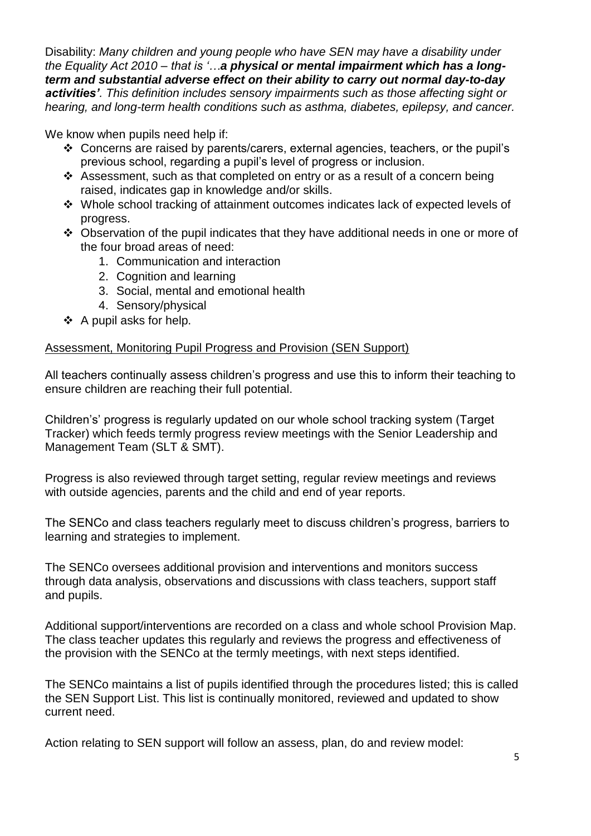Disability: *Many children and young people who have SEN may have a disability under the Equality Act 2010 – that is '…a physical or mental impairment which has a longterm and substantial adverse effect on their ability to carry out normal day-to-day activities'. This definition includes sensory impairments such as those affecting sight or hearing, and long-term health conditions such as asthma, diabetes, epilepsy, and cancer.* 

We know when pupils need help if:

- ❖ Concerns are raised by parents/carers, external agencies, teachers, or the pupil's previous school, regarding a pupil's level of progress or inclusion.
- ❖ Assessment, such as that completed on entry or as a result of a concern being raised, indicates gap in knowledge and/or skills.
- ❖ Whole school tracking of attainment outcomes indicates lack of expected levels of progress.
- ❖ Observation of the pupil indicates that they have additional needs in one or more of the four broad areas of need:
	- 1. Communication and interaction
	- 2. Cognition and learning
	- 3. Social, mental and emotional health
	- 4. Sensory/physical
- ❖ A pupil asks for help.

## Assessment, Monitoring Pupil Progress and Provision (SEN Support)

All teachers continually assess children's progress and use this to inform their teaching to ensure children are reaching their full potential.

Children's' progress is regularly updated on our whole school tracking system (Target Tracker) which feeds termly progress review meetings with the Senior Leadership and Management Team (SLT & SMT).

Progress is also reviewed through target setting, regular review meetings and reviews with outside agencies, parents and the child and end of year reports.

The SENCo and class teachers regularly meet to discuss children's progress, barriers to learning and strategies to implement.

The SENCo oversees additional provision and interventions and monitors success through data analysis, observations and discussions with class teachers, support staff and pupils.

Additional support/interventions are recorded on a class and whole school Provision Map. The class teacher updates this regularly and reviews the progress and effectiveness of the provision with the SENCo at the termly meetings, with next steps identified.

The SENCo maintains a list of pupils identified through the procedures listed; this is called the SEN Support List. This list is continually monitored, reviewed and updated to show current need.

Action relating to SEN support will follow an assess, plan, do and review model: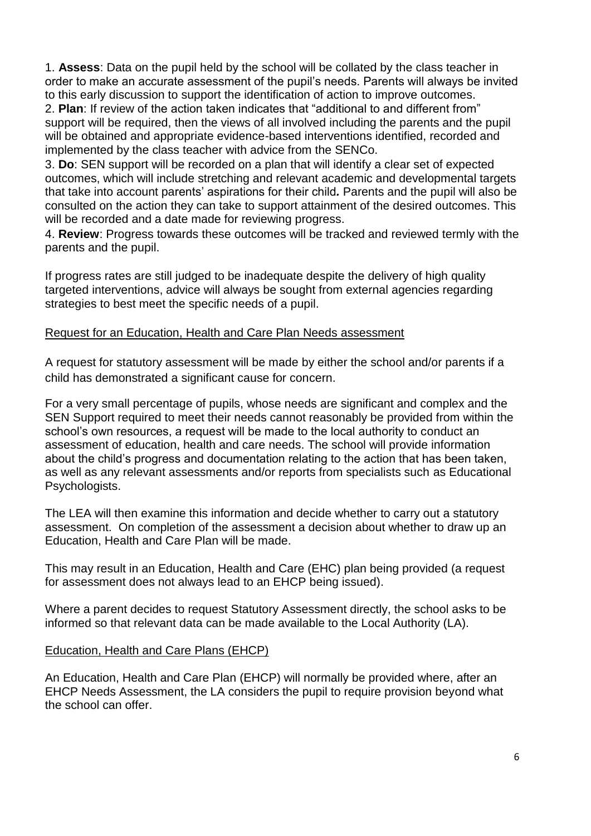1. **Assess**: Data on the pupil held by the school will be collated by the class teacher in order to make an accurate assessment of the pupil's needs. Parents will always be invited to this early discussion to support the identification of action to improve outcomes.

2. **Plan**: If review of the action taken indicates that "additional to and different from" support will be required, then the views of all involved including the parents and the pupil will be obtained and appropriate evidence-based interventions identified, recorded and implemented by the class teacher with advice from the SENCo.

3. **Do**: SEN support will be recorded on a plan that will identify a clear set of expected outcomes, which will include stretching and relevant academic and developmental targets that take into account parents' aspirations for their child*.* Parents and the pupil will also be consulted on the action they can take to support attainment of the desired outcomes. This will be recorded and a date made for reviewing progress.

4. **Review**: Progress towards these outcomes will be tracked and reviewed termly with the parents and the pupil.

If progress rates are still judged to be inadequate despite the delivery of high quality targeted interventions, advice will always be sought from external agencies regarding strategies to best meet the specific needs of a pupil.

## Request for an Education, Health and Care Plan Needs assessment

A request for statutory assessment will be made by either the school and/or parents if a child has demonstrated a significant cause for concern.

For a very small percentage of pupils, whose needs are significant and complex and the SEN Support required to meet their needs cannot reasonably be provided from within the school's own resources, a request will be made to the local authority to conduct an assessment of education, health and care needs. The school will provide information about the child's progress and documentation relating to the action that has been taken, as well as any relevant assessments and/or reports from specialists such as Educational Psychologists.

The LEA will then examine this information and decide whether to carry out a statutory assessment. On completion of the assessment a decision about whether to draw up an Education, Health and Care Plan will be made.

This may result in an Education, Health and Care (EHC) plan being provided (a request for assessment does not always lead to an EHCP being issued).

Where a parent decides to request Statutory Assessment directly, the school asks to be informed so that relevant data can be made available to the Local Authority (LA).

#### Education, Health and Care Plans (EHCP)

An Education, Health and Care Plan (EHCP) will normally be provided where, after an EHCP Needs Assessment, the LA considers the pupil to require provision beyond what the school can offer.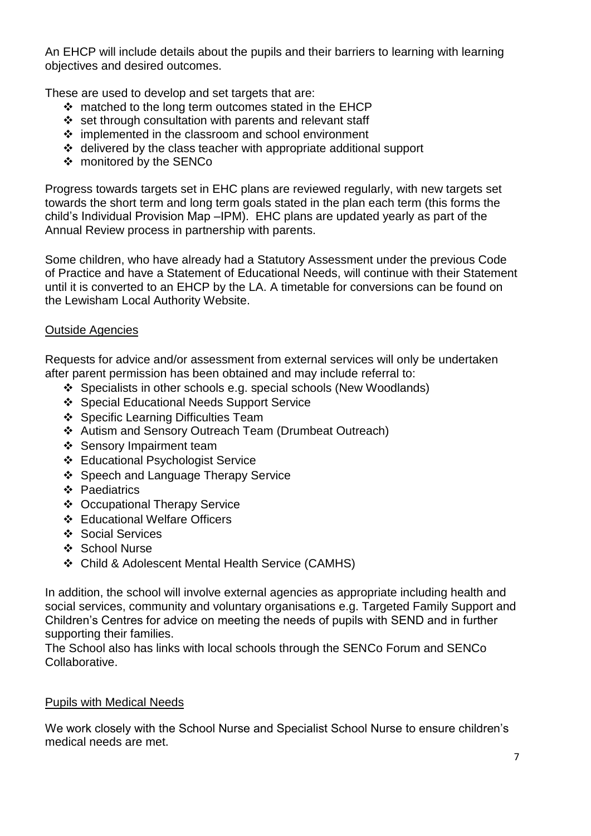An EHCP will include details about the pupils and their barriers to learning with learning objectives and desired outcomes.

These are used to develop and set targets that are:

- ❖ matched to the long term outcomes stated in the EHCP
- ❖ set through consultation with parents and relevant staff
- ❖ implemented in the classroom and school environment
- ❖ delivered by the class teacher with appropriate additional support
- ❖ monitored by the SENCo

Progress towards targets set in EHC plans are reviewed regularly, with new targets set towards the short term and long term goals stated in the plan each term (this forms the child's Individual Provision Map –IPM). EHC plans are updated yearly as part of the Annual Review process in partnership with parents.

Some children, who have already had a Statutory Assessment under the previous Code of Practice and have a Statement of Educational Needs, will continue with their Statement until it is converted to an EHCP by the LA. A timetable for conversions can be found on the Lewisham Local Authority Website.

## Outside Agencies

Requests for advice and/or assessment from external services will only be undertaken after parent permission has been obtained and may include referral to:

- ❖ Specialists in other schools e.g. special schools (New Woodlands)
- ❖ Special Educational Needs Support Service
- ❖ Specific Learning Difficulties Team
- ❖ Autism and Sensory Outreach Team (Drumbeat Outreach)
- ❖ Sensory Impairment team
- ❖ Educational Psychologist Service
- ❖ Speech and Language Therapy Service
- ❖ Paediatrics
- ❖ Occupational Therapy Service
- ❖ Educational Welfare Officers
- ❖ Social Services
- ❖ School Nurse
- ❖ Child & Adolescent Mental Health Service (CAMHS)

In addition, the school will involve external agencies as appropriate including health and social services, community and voluntary organisations e.g. Targeted Family Support and Children's Centres for advice on meeting the needs of pupils with SEND and in further supporting their families.

The School also has links with local schools through the SENCo Forum and SENCo Collaborative.

## Pupils with Medical Needs

We work closely with the School Nurse and Specialist School Nurse to ensure children's medical needs are met.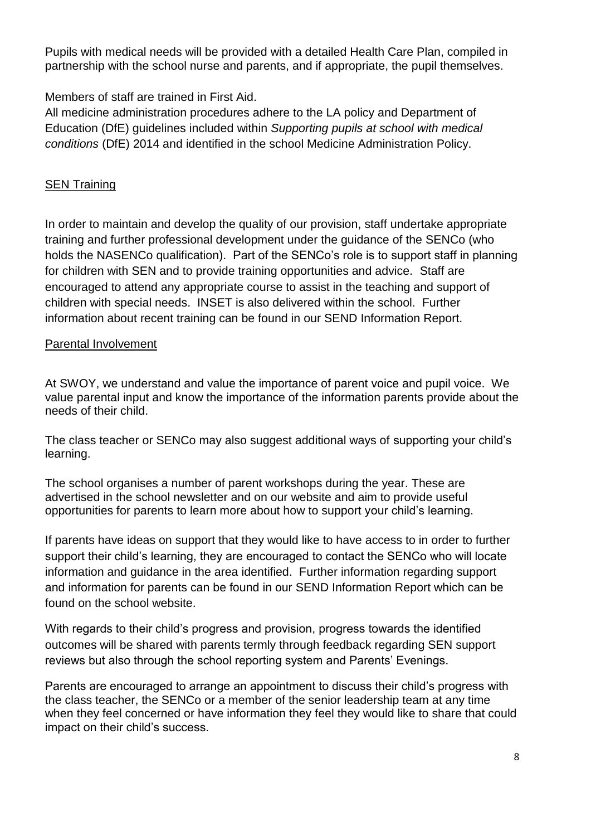Pupils with medical needs will be provided with a detailed Health Care Plan, compiled in partnership with the school nurse and parents, and if appropriate, the pupil themselves.

Members of staff are trained in First Aid.

All medicine administration procedures adhere to the LA policy and Department of Education (DfE) guidelines included within *Supporting pupils at school with medical conditions* (DfE) 2014 and identified in the school Medicine Administration Policy.

## SEN Training

In order to maintain and develop the quality of our provision, staff undertake appropriate training and further professional development under the guidance of the SENCo (who holds the NASENCo qualification). Part of the SENCo's role is to support staff in planning for children with SEN and to provide training opportunities and advice. Staff are encouraged to attend any appropriate course to assist in the teaching and support of children with special needs. INSET is also delivered within the school. Further information about recent training can be found in our SEND Information Report.

## Parental Involvement

At SWOY, we understand and value the importance of parent voice and pupil voice. We value parental input and know the importance of the information parents provide about the needs of their child.

The class teacher or SENCo may also suggest additional ways of supporting your child's learning.

The school organises a number of parent workshops during the year. These are advertised in the school newsletter and on our website and aim to provide useful opportunities for parents to learn more about how to support your child's learning.

If parents have ideas on support that they would like to have access to in order to further support their child's learning, they are encouraged to contact the SENCo who will locate information and guidance in the area identified. Further information regarding support and information for parents can be found in our SEND Information Report which can be found on the school website.

With regards to their child's progress and provision, progress towards the identified outcomes will be shared with parents termly through feedback regarding SEN support reviews but also through the school reporting system and Parents' Evenings.

Parents are encouraged to arrange an appointment to discuss their child's progress with the class teacher, the SENCo or a member of the senior leadership team at any time when they feel concerned or have information they feel they would like to share that could impact on their child's success.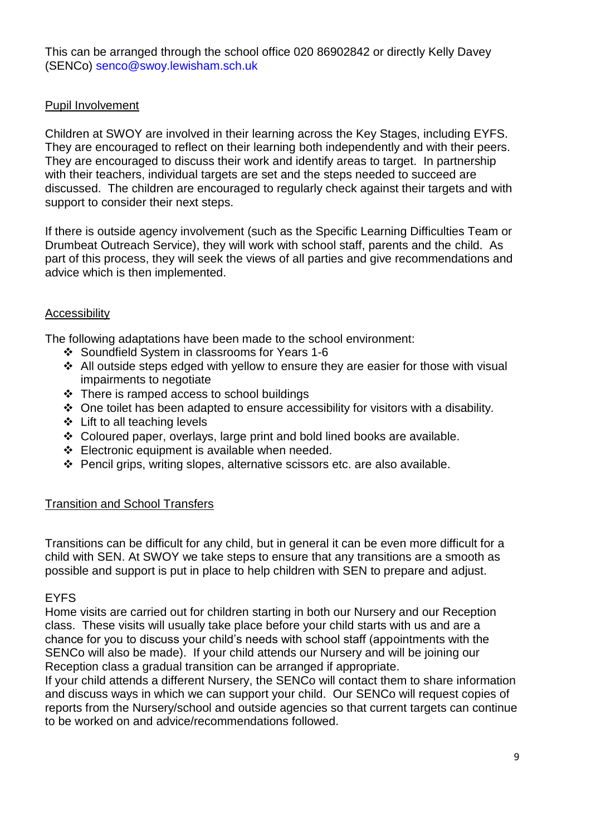This can be arranged through the school office 020 86902842 or directly Kelly Davey (SENCo) [senco@swoy.lewisham.sch.uk](mailto:senco@swoy.lewisham.sch.uk)

#### Pupil Involvement

Children at SWOY are involved in their learning across the Key Stages, including EYFS. They are encouraged to reflect on their learning both independently and with their peers. They are encouraged to discuss their work and identify areas to target. In partnership with their teachers, individual targets are set and the steps needed to succeed are discussed. The children are encouraged to regularly check against their targets and with support to consider their next steps.

If there is outside agency involvement (such as the Specific Learning Difficulties Team or Drumbeat Outreach Service), they will work with school staff, parents and the child. As part of this process, they will seek the views of all parties and give recommendations and advice which is then implemented.

#### **Accessibility**

The following adaptations have been made to the school environment:

- ❖ Soundfield System in classrooms for Years 1-6
- ❖ All outside steps edged with yellow to ensure they are easier for those with visual impairments to negotiate
- ❖ There is ramped access to school buildings
- ❖ One toilet has been adapted to ensure accessibility for visitors with a disability*.*
- ❖ Lift to all teaching levels
- ❖ Coloured paper, overlays, large print and bold lined books are available.
- ❖ Electronic equipment is available when needed.
- ❖ Pencil grips, writing slopes, alternative scissors etc. are also available.

## Transition and School Transfers

Transitions can be difficult for any child, but in general it can be even more difficult for a child with SEN. At SWOY we take steps to ensure that any transitions are a smooth as possible and support is put in place to help children with SEN to prepare and adjust.

#### EYFS

Home visits are carried out for children starting in both our Nursery and our Reception class. These visits will usually take place before your child starts with us and are a chance for you to discuss your child's needs with school staff (appointments with the SENCo will also be made). If your child attends our Nursery and will be joining our Reception class a gradual transition can be arranged if appropriate.

If your child attends a different Nursery, the SENCo will contact them to share information and discuss ways in which we can support your child. Our SENCo will request copies of reports from the Nursery/school and outside agencies so that current targets can continue to be worked on and advice/recommendations followed.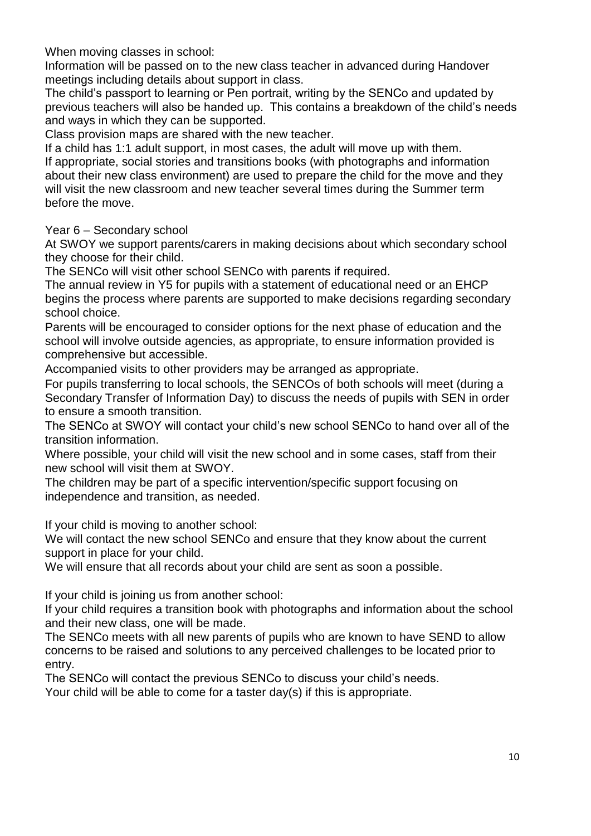When moving classes in school:

Information will be passed on to the new class teacher in advanced during Handover meetings including details about support in class.

The child's passport to learning or Pen portrait, writing by the SENCo and updated by previous teachers will also be handed up. This contains a breakdown of the child's needs and ways in which they can be supported.

Class provision maps are shared with the new teacher.

If a child has 1:1 adult support, in most cases, the adult will move up with them. If appropriate, social stories and transitions books (with photographs and information about their new class environment) are used to prepare the child for the move and they will visit the new classroom and new teacher several times during the Summer term before the move.

Year 6 – Secondary school

At SWOY we support parents/carers in making decisions about which secondary school they choose for their child.

The SENCo will visit other school SENCo with parents if required.

The annual review in Y5 for pupils with a statement of educational need or an EHCP begins the process where parents are supported to make decisions regarding secondary school choice.

Parents will be encouraged to consider options for the next phase of education and the school will involve outside agencies, as appropriate, to ensure information provided is comprehensive but accessible.

Accompanied visits to other providers may be arranged as appropriate.

For pupils transferring to local schools, the SENCOs of both schools will meet (during a Secondary Transfer of Information Day) to discuss the needs of pupils with SEN in order to ensure a smooth transition.

The SENCo at SWOY will contact your child's new school SENCo to hand over all of the transition information.

Where possible, your child will visit the new school and in some cases, staff from their new school will visit them at SWOY.

The children may be part of a specific intervention/specific support focusing on independence and transition, as needed.

If your child is moving to another school:

We will contact the new school SENCo and ensure that they know about the current support in place for your child.

We will ensure that all records about your child are sent as soon a possible.

If your child is joining us from another school:

If your child requires a transition book with photographs and information about the school and their new class, one will be made.

The SENCo meets with all new parents of pupils who are known to have SEND to allow concerns to be raised and solutions to any perceived challenges to be located prior to entry.

The SENCo will contact the previous SENCo to discuss your child's needs.

Your child will be able to come for a taster day(s) if this is appropriate.